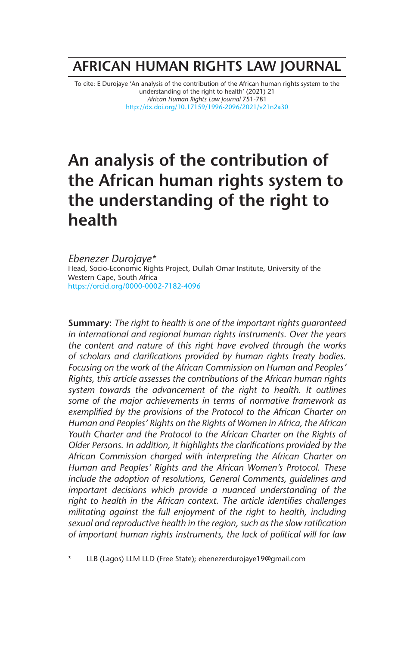# **AFRICAN HUMAN RIGHTS LAW JOURNAL**

To cite: E Durojaye 'An analysis of the contribution of the African human rights system to the understanding of the right to health' (2021) 21 *African Human Rights Law Journal* 751-781 http://dx.doi.org/10.17159/1996-2096/2021/v21n2a30

# **An analysis of the contribution of the African human rights system to the understanding of the right to health**

*Ebenezer Durojaye\** Head, Socio-Economic Rights Project, Dullah Omar Institute, University of the Western Cape, South Africa https://orcid.org/0000-0002-7182-4096

**Summary:** *The right to health is one of the important rights guaranteed in international and regional human rights instruments. Over the years the content and nature of this right have evolved through the works of scholars and clarifications provided by human rights treaty bodies. Focusing on the work of the African Commission on Human and Peoples' Rights, this article assesses the contributions of the African human rights system towards the advancement of the right to health. It outlines some of the major achievements in terms of normative framework as exemplified by the provisions of the Protocol to the African Charter on Human and Peoples' Rights on the Rights of Women in Africa, the African Youth Charter and the Protocol to the African Charter on the Rights of Older Persons. In addition, it highlights the clarifications provided by the African Commission charged with interpreting the African Charter on Human and Peoples' Rights and the African Women's Protocol. These include the adoption of resolutions, General Comments, guidelines and important decisions which provide a nuanced understanding of the right to health in the African context. The article identifies challenges militating against the full enjoyment of the right to health, including sexual and reproductive health in the region, such as the slow ratification of important human rights instruments, the lack of political will for law* 

\* LLB (Lagos) LLM LLD (Free State); ebenezerdurojaye19@gmail.com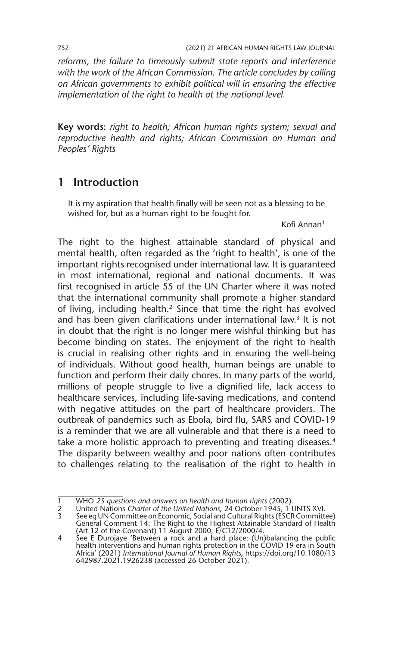*reforms, the failure to timeously submit state reports and interference*  with the work of the African Commission. The article concludes by calling *on African governments to exhibit political will in ensuring the effective implementation of the right to health at the national level.* 

**Key words:** *right to health; African human rights system; sexual and reproductive health and rights; African Commission on Human and Peoples' Rights*

## **1 Introduction**

It is my aspiration that health finally will be seen not as a blessing to be wished for, but as a human right to be fought for.

Kofi Annan1

The right to the highest attainable standard of physical and mental health, often regarded as the 'right to health', is one of the important rights recognised under international law. It is guaranteed in most international, regional and national documents. It was first recognised in article 55 of the UN Charter where it was noted that the international community shall promote a higher standard of living, including health.2 Since that time the right has evolved and has been given clarifications under international law.<sup>3</sup> It is not in doubt that the right is no longer mere wishful thinking but has become binding on states. The enjoyment of the right to health is crucial in realising other rights and in ensuring the well-being of individuals. Without good health, human beings are unable to function and perform their daily chores. In many parts of the world, millions of people struggle to live a dignified life, lack access to healthcare services, including life-saving medications, and contend with negative attitudes on the part of healthcare providers. The outbreak of pandemics such as Ebola, bird flu, SARS and COVID-19 is a reminder that we are all vulnerable and that there is a need to take a more holistic approach to preventing and treating diseases.<sup>4</sup> The disparity between wealthy and poor nations often contributes to challenges relating to the realisation of the right to health in

2 United Nations *Charter of the United Nations*, 24 October 1945, 1 UNTS XVI.

<sup>1</sup> WHO *25 questions and answers on health and human rights* (2002).

<sup>3</sup> See eg UN Committee on Economic, Social and Cultural Rights (ESCR Committee) General Comment 14: The Right to the Highest Attainable Standard of Health (Art 12 of the Covenant) 11 August 2000, E/C12/2000/4. 4 See E Durojaye 'Between a rock and a hard place: (Un)balancing the public

health interventions and human rights protection in the COVID 19 era in South Africa' (2021) *International Journal of Human Rights*, https://doi.org/10.1080/13 642987.2021.1926238 (accessed 26 October 2021).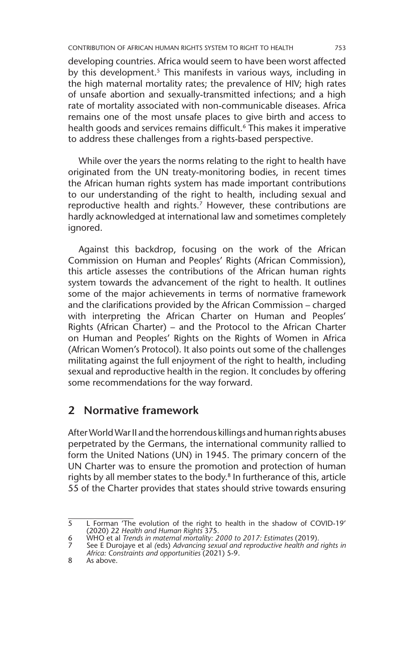developing countries. Africa would seem to have been worst affected by this development.<sup>5</sup> This manifests in various ways, including in the high maternal mortality rates; the prevalence of HIV; high rates of unsafe abortion and sexually-transmitted infections; and a high rate of mortality associated with non-communicable diseases. Africa remains one of the most unsafe places to give birth and access to health goods and services remains difficult.<sup>6</sup> This makes it imperative to address these challenges from a rights-based perspective.

While over the years the norms relating to the right to health have originated from the UN treaty-monitoring bodies, in recent times the African human rights system has made important contributions to our understanding of the right to health, including sexual and reproductive health and rights.<sup>7</sup> However, these contributions are hardly acknowledged at international law and sometimes completely ignored.

Against this backdrop, focusing on the work of the African Commission on Human and Peoples' Rights (African Commission), this article assesses the contributions of the African human rights system towards the advancement of the right to health. It outlines some of the major achievements in terms of normative framework and the clarifications provided by the African Commission – charged with interpreting the African Charter on Human and Peoples' Rights (African Charter) – and the Protocol to the African Charter on Human and Peoples' Rights on the Rights of Women in Africa (African Women's Protocol). It also points out some of the challenges militating against the full enjoyment of the right to health, including sexual and reproductive health in the region. It concludes by offering some recommendations for the way forward.

### **2 Normative framework**

After World War II and the horrendous killings and human rights abuses perpetrated by the Germans, the international community rallied to form the United Nations (UN) in 1945. The primary concern of the UN Charter was to ensure the promotion and protection of human rights by all member states to the body.<sup>8</sup> In furtherance of this, article 55 of the Charter provides that states should strive towards ensuring

<sup>5</sup> L Forman 'The evolution of the right to health in the shadow of COVID-19' (2020) 22 *Health and Human Rights* 375*.*

<sup>6</sup> WHO et al *Trends in maternal mortality: 2000 to 2017: Estimates* (2019).

<sup>7</sup> See E Durojaye et al *(*eds) *Advancing sexual and reproductive health and rights in Africa: Constraints and opportunities* (2021) 5-9.

<sup>8</sup> As above.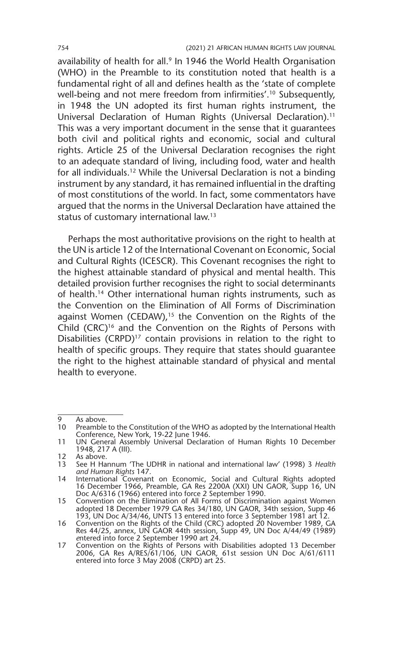availability of health for all.<sup>9</sup> In 1946 the World Health Organisation (WHO) in the Preamble to its constitution noted that health is a fundamental right of all and defines health as the 'state of complete well-being and not mere freedom from infirmities'.<sup>10</sup> Subsequently, in 1948 the UN adopted its first human rights instrument, the Universal Declaration of Human Rights (Universal Declaration).<sup>11</sup> This was a very important document in the sense that it guarantees both civil and political rights and economic, social and cultural rights. Article 25 of the Universal Declaration recognises the right to an adequate standard of living, including food, water and health for all individuals.12 While the Universal Declaration is not a binding instrument by any standard, it has remained influential in the drafting of most constitutions of the world. In fact, some commentators have argued that the norms in the Universal Declaration have attained the status of customary international law.13

Perhaps the most authoritative provisions on the right to health at the UN is article 12 of the International Covenant on Economic, Social and Cultural Rights (ICESCR). This Covenant recognises the right to the highest attainable standard of physical and mental health. This detailed provision further recognises the right to social determinants of health.14 Other international human rights instruments, such as the Convention on the Elimination of All Forms of Discrimination against Women (CEDAW),<sup>15</sup> the Convention on the Rights of the Child (CRC)<sup>16</sup> and the Convention on the Rights of Persons with Disabilities (CRPD)<sup>17</sup> contain provisions in relation to the right to health of specific groups. They require that states should guarantee the right to the highest attainable standard of physical and mental health to everyone.

<sup>9</sup> As above.<br>10 Preamble

Preamble to the Constitution of the WHO as adopted by the International Health Conference, New York, 19-22 June 1946.

<sup>11</sup> UN General Assembly Universal Declaration of Human Rights 10 December 1948, 217 A (III).

<sup>12</sup> As above.<br>13 See H Ha

<sup>13</sup> See H Hannum 'The UDHR in national and international law' (1998) 3 *Health and Human Rights* 147.

<sup>14</sup> International Covenant on Economic, Social and Cultural Rights adopted 16 December 1966, Preamble, GA Res 2200A (XXI) UN GAOR, Supp 16, UN Doc A/6316 (1966) entered into force 2 September 1990.

<sup>15</sup> Convention on the Elimination of All Forms of Discrimination against Women adopted 18 December 1979 GA Res 34/180, UN GAOR, 34th session, Supp 46 193, UN Doc A/34/46, UNTS 13 entered into force 3 September 1981 art 12.

<sup>16</sup> Convention on the Rights of the Child (CRC) adopted 20 November 1989, GA Res 44/25, annex, UN GAOR 44th session, Supp 49, UN Doc A/44/49 (1989) *e*ntered into force 2 September 1990 art 24.

<sup>17</sup> Convention on the Rights of Persons with Disabilities adopted 13 December 2006, GA Res A/RES/61/106, UN GAOR, 61st session UN Doc A/61/6111 entered into force 3 May 2008 (CRPD) art 25.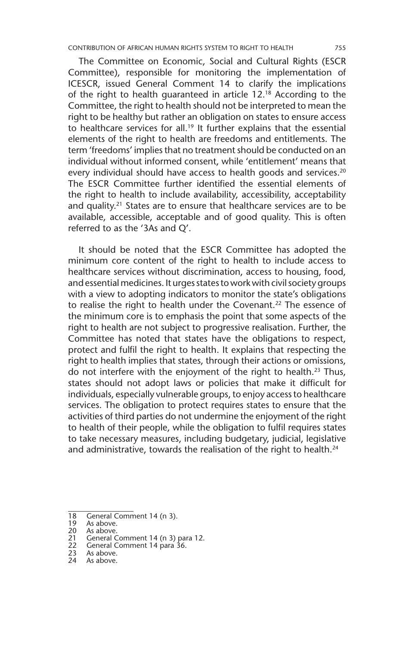The Committee on Economic, Social and Cultural Rights (ESCR Committee), responsible for monitoring the implementation of ICESCR, issued General Comment 14 to clarify the implications of the right to health guaranteed in article 12.18 According to the Committee, the right to health should not be interpreted to mean the right to be healthy but rather an obligation on states to ensure access to healthcare services for all.<sup>19</sup> It further explains that the essential elements of the right to health are freedoms and entitlements. The term 'freedoms' implies that no treatment should be conducted on an individual without informed consent, while 'entitlement' means that every individual should have access to health goods and services.<sup>20</sup> The ESCR Committee further identified the essential elements of the right to health to include availability, accessibility, acceptability and quality.21 States are to ensure that healthcare services are to be available, accessible, acceptable and of good quality. This is often referred to as the '3As and Q'.

It should be noted that the ESCR Committee has adopted the minimum core content of the right to health to include access to healthcare services without discrimination, access to housing, food, and essential medicines. It urges states to work with civil society groups with a view to adopting indicators to monitor the state's obligations to realise the right to health under the Covenant.<sup>22</sup> The essence of the minimum core is to emphasis the point that some aspects of the right to health are not subject to progressive realisation. Further, the Committee has noted that states have the obligations to respect, protect and fulfil the right to health. It explains that respecting the right to health implies that states, through their actions or omissions, do not interfere with the enjoyment of the right to health.23 Thus, states should not adopt laws or policies that make it difficult for individuals, especially vulnerable groups, to enjoy access to healthcare services. The obligation to protect requires states to ensure that the activities of third parties do not undermine the eniovment of the right to health of their people, while the obligation to fulfil requires states to take necessary measures, including budgetary, judicial, legislative and administrative, towards the realisation of the right to health. $^{24}$ 

<sup>18</sup> General Comment 14 (n 3).<br>19 As above.

<sup>19</sup> As above.<br>20 As above.

<sup>20</sup> As above.<br>21 General C

<sup>21</sup> General Comment 14 (n 3) para 12.<br>22 General Comment 14 para 36.

<sup>22</sup> General Comment 14 para 36.<br>23 As above.

<sup>23</sup> As above.<br>24 As above As above.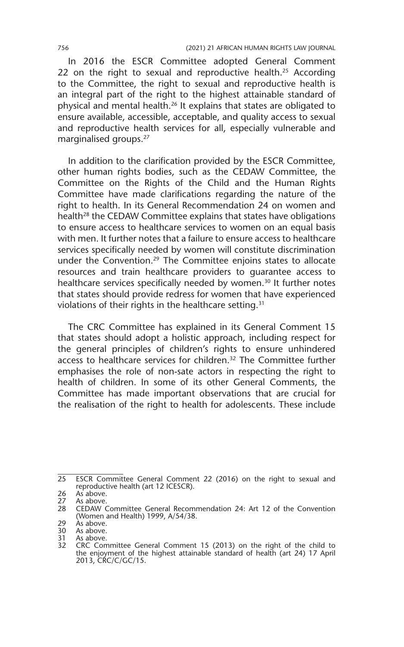In 2016 the ESCR Committee adopted General Comment 22 on the right to sexual and reproductive health.<sup>25</sup> According to the Committee, the right to sexual and reproductive health is an integral part of the right to the highest attainable standard of physical and mental health.26 It explains that states are obligated to ensure available, accessible, acceptable, and quality access to sexual and reproductive health services for all, especially vulnerable and marginalised groups.27

In addition to the clarification provided by the ESCR Committee, other human rights bodies, such as the CEDAW Committee, the Committee on the Rights of the Child and the Human Rights Committee have made clarifications regarding the nature of the right to health. In its General Recommendation 24 on women and health<sup>28</sup> the CEDAW Committee explains that states have obligations to ensure access to healthcare services to women on an equal basis with men. It further notes that a failure to ensure access to healthcare services specifically needed by women will constitute discrimination under the Convention.29 The Committee enjoins states to allocate resources and train healthcare providers to guarantee access to healthcare services specifically needed by women.<sup>30</sup> It further notes that states should provide redress for women that have experienced violations of their rights in the healthcare setting.<sup>31</sup>

The CRC Committee has explained in its General Comment 15 that states should adopt a holistic approach, including respect for the general principles of children's rights to ensure unhindered access to healthcare services for children.32 The Committee further emphasises the role of non-sate actors in respecting the right to health of children. In some of its other General Comments, the Committee has made important observations that are crucial for the realisation of the right to health for adolescents. These include

<sup>25</sup> ESCR Committee General Comment 22 (2016) on the right to sexual and reproductive health (art 12 ICESCR).

<sup>26</sup> As above.<br>27 As above. 27 As above.

<sup>28</sup> CEDAW Committee General Recommendation 24: Art 12 of the Convention (Women and Health) 1999, A/54/38.

<sup>29</sup> Às above.<br>30 As above.

<sup>30</sup> As above.<br>31 As above. As above.

<sup>32</sup> CRC Committee General Comment 15 (2013) on the right of the child to the enjoyment of the highest attainable standard of health (art 24) 17 April 2013, CRC/C/GC/15.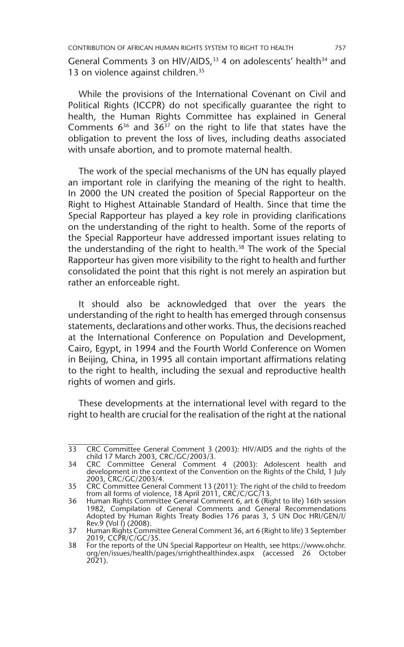CONTRIBUTION OF AFRICAN HUMAN RIGHTS SYSTEM TO RIGHT TO HEALTH 757

General Comments 3 on HIV/AIDS.<sup>33</sup> 4 on adolescents' health<sup>34</sup> and 13 on violence against children.<sup>35</sup>

While the provisions of the International Covenant on Civil and Political Rights (ICCPR) do not specifically guarantee the right to health, the Human Rights Committee has explained in General Comments  $6^{36}$  and  $36^{37}$  on the right to life that states have the obligation to prevent the loss of lives, including deaths associated with unsafe abortion, and to promote maternal health.

The work of the special mechanisms of the UN has equally played an important role in clarifying the meaning of the right to health. In 2000 the UN created the position of Special Rapporteur on the Right to Highest Attainable Standard of Health. Since that time the Special Rapporteur has played a key role in providing clarifications on the understanding of the right to health. Some of the reports of the Special Rapporteur have addressed important issues relating to the understanding of the right to health.<sup>38</sup> The work of the Special Rapporteur has given more visibility to the right to health and further consolidated the point that this right is not merely an aspiration but rather an enforceable right.

It should also be acknowledged that over the years the understanding of the right to health has emerged through consensus statements, declarations and other works. Thus, the decisions reached at the International Conference on Population and Development, Cairo, Egypt, in 1994 and the Fourth World Conference on Women in Beijing, China, in 1995 all contain important affirmations relating to the right to health, including the sexual and reproductive health rights of women and girls.

These developments at the international level with regard to the right to health are crucial for the realisation of the right at the national

<sup>33</sup> CRC Committee General Comment 3 (2003): HIV/AIDS and the rights of the child 17 March 2003, CRC/GC/2003/3.

<sup>34</sup> CRC Committee General Comment 4 (2003): Adolescent health and development in the context of the Convention on the Rights of the Child, 1 July 2003, CRC/GC/2003/4.

<sup>35</sup> CRC Committee General Comment 13 (2011): The right of the child to freedom from all forms of violence, 18 April 2011, CRC/C/GC/13.

<sup>36</sup> Human Rights Committee General Comment 6, art 6 (Right to life) 16th session 1982, Compilation of General Comments and General Recommendations Adopted by Human Rights Treaty Bodies 176 paras 3, 5 UN Doc HRI/GEN/I/

Rev.9 (Vol I) (2008).<br>37 Human Rights Committee General Comment 36, art 6 (Right to life) 3 September<br>2019, CCPR/C/GC/35.

<sup>38</sup> For the reports of the UN Special Rapporteur on Health, see https://www.ohchr. org/en/issues/health/pages/srrighthealthindex.aspx (accessed 26 October 2021).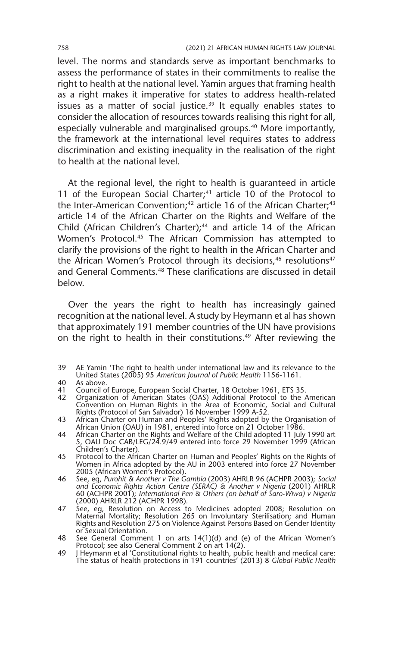level. The norms and standards serve as important benchmarks to assess the performance of states in their commitments to realise the right to health at the national level. Yamin argues that framing health as a right makes it imperative for states to address health-related issues as a matter of social justice. $39$  It equally enables states to consider the allocation of resources towards realising this right for all, especially vulnerable and marginalised groups.<sup>40</sup> More importantly, the framework at the international level requires states to address discrimination and existing inequality in the realisation of the right to health at the national level.

At the regional level, the right to health is guaranteed in article 11 of the European Social Charter; $41$  article 10 of the Protocol to the Inter-American Convention;<sup>42</sup> article 16 of the African Charter;<sup>43</sup> article 14 of the African Charter on the Rights and Welfare of the Child (African Children's Charter);<sup>44</sup> and article 14 of the African Women's Protocol.45 The African Commission has attempted to clarify the provisions of the right to health in the African Charter and the African Women's Protocol through its decisions,<sup>46</sup> resolutions<sup>47</sup> and General Comments.48 These clarifications are discussed in detail below.

Over the years the right to health has increasingly gained recognition at the national level. A study by Heymann et al has shown that approximately 191 member countries of the UN have provisions on the right to health in their constitutions.<sup>49</sup> After reviewing the

<sup>39</sup> AE Yamin 'The right to health under international law and its relevance to the United States (2005) 95 *American Journal of Public Health* 1156-1161.

<sup>40</sup> As above.<br>41 Council o

<sup>41</sup> Council of Europe, European Social Charter, 18 October 1961, ETS 35.

<sup>42</sup> Organization of American States (OAS) Additional Protocol to the American Convention on Human Rights in the Area of Economic, Social and Cultural Rights (Protocol of San Salvador) 16 November 1999 A-52.

<sup>43</sup> African Charter on Human and Peoples' Rights adopted by the Organisation of African Union (OAU) in 1981, entered into force on 21 October 1986.

<sup>44</sup> African Charter on the Rights and Welfare of the Child adopted 11 July 1990 art 5, OAU Doc CAB/LEG/24.9/49 entered into force 29 November 1999 (African Children's Charter).

<sup>45</sup> Protocol to the African Charter on Human and Peoples' Rights on the Rights of Women in Africa adopted by the AU in 2003 entered into force 27 November 2005 (African Women's Protocol).

<sup>46</sup> See, eg, *Purohit & Another v The Gambia* (2003) AHRLR 96 (ACHPR 2003); *Social and Economic Rights Action Centre (SERAC) & Another v Nigeria* (2001) AHRLR 60 (ACHPR 2001); *International Pen & Others (on behalf of Saro-Wiwa) v Nigeria* (2000) AHRLR 212 (ACHPR 1998)*.*

<sup>47</sup> See, eg, Resolution on Access to Medicines adopted 2008; Resolution on Maternal Mortality; Resolution 265 on Involuntary Sterilisation; and Human Rights and Resolution 275 on Violence Against Persons Based on Gender Identity or Sexual Orientation.

<sup>48</sup> See General Comment 1 on arts 14(1)(d) and (e) of the African Women's Protocol; see also General Comment 2 on art 14(2).

<sup>49</sup> J Heymann et al 'Constitutional rights to health, public health and medical care: The status of health protections in 191 countries' (2013) 8 *Global Public Health*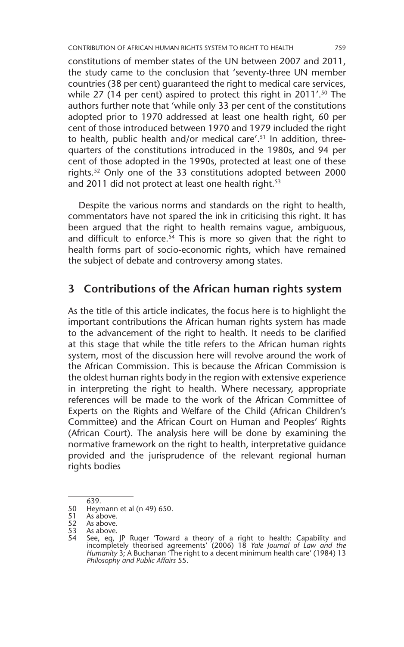constitutions of member states of the UN between 2007 and 2011, the study came to the conclusion that 'seventy-three UN member countries (38 per cent) guaranteed the right to medical care services, while 27 (14 per cent) aspired to protect this right in 2011'.<sup>50</sup> The authors further note that 'while only 33 per cent of the constitutions adopted prior to 1970 addressed at least one health right, 60 per cent of those introduced between 1970 and 1979 included the right to health, public health and/or medical care'.51 In addition, threequarters of the constitutions introduced in the 1980s, and 94 per cent of those adopted in the 1990s, protected at least one of these rights.52 Only one of the 33 constitutions adopted between 2000 and 2011 did not protect at least one health right.<sup>53</sup>

Despite the various norms and standards on the right to health, commentators have not spared the ink in criticising this right. It has been argued that the right to health remains vague, ambiguous, and difficult to enforce.<sup>54</sup> This is more so given that the right to health forms part of socio-economic rights, which have remained the subject of debate and controversy among states.

#### **3 Contributions of the African human rights system**

As the title of this article indicates, the focus here is to highlight the important contributions the African human rights system has made to the advancement of the right to health. It needs to be clarified at this stage that while the title refers to the African human rights system, most of the discussion here will revolve around the work of the African Commission. This is because the African Commission is the oldest human rights body in the region with extensive experience in interpreting the right to health. Where necessary, appropriate references will be made to the work of the African Committee of Experts on the Rights and Welfare of the Child (African Children's Committee) and the African Court on Human and Peoples' Rights (African Court). The analysis here will be done by examining the normative framework on the right to health, interpretative guidance provided and the jurisprudence of the relevant regional human rights bodies

<sup>639.</sup>  50 Heymann et al (n 49) 650.

<sup>51</sup> As above.<br>52 As above.

<sup>52</sup> As above.<br>53 As above.

<sup>53</sup> As above.<br>54 See, eq.

<sup>54</sup> See, eg, JP Ruger 'Toward a theory of a right to health: Capability and incompletely theorised agreements' (2006) 18 *Yale Journal of Law and the Humanity* 3; A Buchanan 'The right to a decent minimum health care' (1984) 13 *Philosophy and Public Affairs* 55.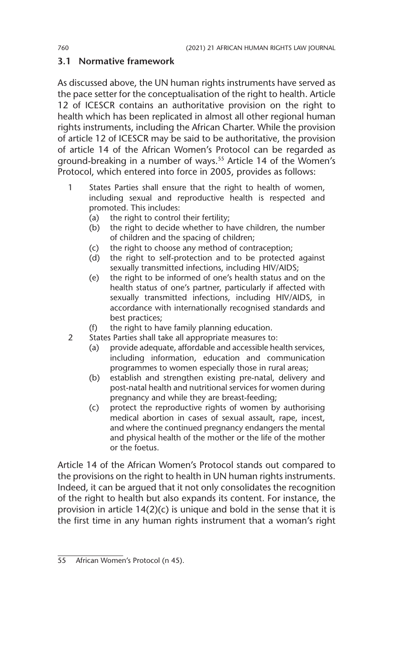#### **3.1 Normative framework**

As discussed above, the UN human rights instruments have served as the pace setter for the conceptualisation of the right to health. Article 12 of ICESCR contains an authoritative provision on the right to health which has been replicated in almost all other regional human rights instruments, including the African Charter. While the provision of article 12 of ICESCR may be said to be authoritative, the provision of article 14 of the African Women's Protocol can be regarded as ground-breaking in a number of ways.<sup>55</sup> Article 14 of the Women's Protocol, which entered into force in 2005, provides as follows:

- 1 States Parties shall ensure that the right to health of women, including sexual and reproductive health is respected and promoted. This includes:
	- (a) the right to control their fertility;
	- (b) the right to decide whether to have children, the number of children and the spacing of children;
	- (c) the right to choose any method of contraception;
	- (d) the right to self-protection and to be protected against sexually transmitted infections, including HIV/AIDS;
	- (e) the right to be informed of one's health status and on the health status of one's partner, particularly if affected with sexually transmitted infections, including HIV/AIDS, in accordance with internationally recognised standards and best practices;
	- (f) the right to have family planning education.
- 2 States Parties shall take all appropriate measures to:
	- (a) provide adequate, affordable and accessible health services, including information, education and communication programmes to women especially those in rural areas;
	- (b) establish and strengthen existing pre-natal, delivery and post-natal health and nutritional services for women during pregnancy and while they are breast-feeding;
	- (c) protect the reproductive rights of women by authorising medical abortion in cases of sexual assault, rape, incest, and where the continued pregnancy endangers the mental and physical health of the mother or the life of the mother or the foetus.

Article 14 of the African Women's Protocol stands out compared to the provisions on the right to health in UN human rights instruments. Indeed, it can be argued that it not only consolidates the recognition of the right to health but also expands its content. For instance, the provision in article 14(2)(c) is unique and bold in the sense that it is the first time in any human rights instrument that a woman's right

<sup>55</sup> African Women's Protocol (n 45).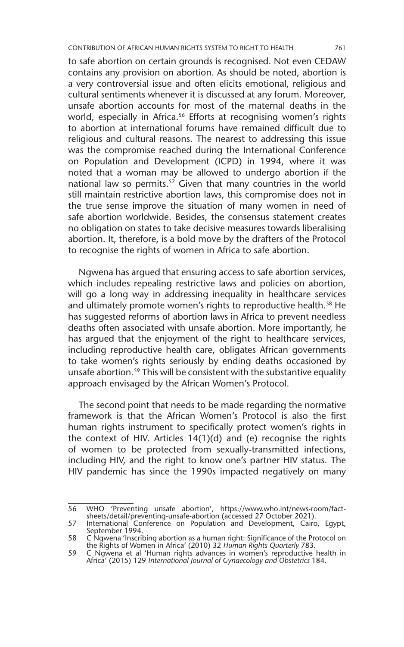to safe abortion on certain grounds is recognised. Not even CEDAW contains any provision on abortion. As should be noted, abortion is a very controversial issue and often elicits emotional, religious and cultural sentiments whenever it is discussed at any forum. Moreover, unsafe abortion accounts for most of the maternal deaths in the world, especially in Africa.<sup>56</sup> Efforts at recognising women's rights to abortion at international forums have remained difficult due to religious and cultural reasons. The nearest to addressing this issue was the compromise reached during the International Conference on Population and Development (ICPD) in 1994, where it was noted that a woman may be allowed to undergo abortion if the national law so permits.<sup>57</sup> Given that many countries in the world still maintain restrictive abortion laws, this compromise does not in the true sense improve the situation of many women in need of safe abortion worldwide. Besides, the consensus statement creates no obligation on states to take decisive measures towards liberalising abortion. It, therefore, is a bold move by the drafters of the Protocol to recognise the rights of women in Africa to safe abortion.

Ngwena has argued that ensuring access to safe abortion services, which includes repealing restrictive laws and policies on abortion, will go a long way in addressing inequality in healthcare services and ultimately promote women's rights to reproductive health.<sup>58</sup> He has suggested reforms of abortion laws in Africa to prevent needless deaths often associated with unsafe abortion. More importantly, he has argued that the enjoyment of the right to healthcare services, including reproductive health care, obligates African governments to take women's rights seriously by ending deaths occasioned by unsafe abortion.<sup>59</sup> This will be consistent with the substantive equality approach envisaged by the African Women's Protocol.

The second point that needs to be made regarding the normative framework is that the African Women's Protocol is also the first human rights instrument to specifically protect women's rights in the context of HIV. Articles 14(1)(d) and (e) recognise the rights of women to be protected from sexually-transmitted infections, including HIV, and the right to know one's partner HIV status. The HIV pandemic has since the 1990s impacted negatively on many

<sup>56</sup> WHO 'Preventing unsafe abortion', https://www.who.int/news-room/factsheets/detail/preventing-unsafe-abortion (accessed 27 October 2021).

<sup>57</sup> International Conference on Population and Development, Cairo, Egypt, September 1994.

<sup>58</sup> C Ngwena 'Inscribing abortion as a human right: Significance of the Protocol on the Rights of Women in Africa' (2010) 32 *Human Rights Quarterly* 783.

<sup>59</sup> C Ngwena et al 'Human rights advances in women's reproductive health in Africa' (2015) 129 *International Journal of Gynaecology and Obstetrics* 184.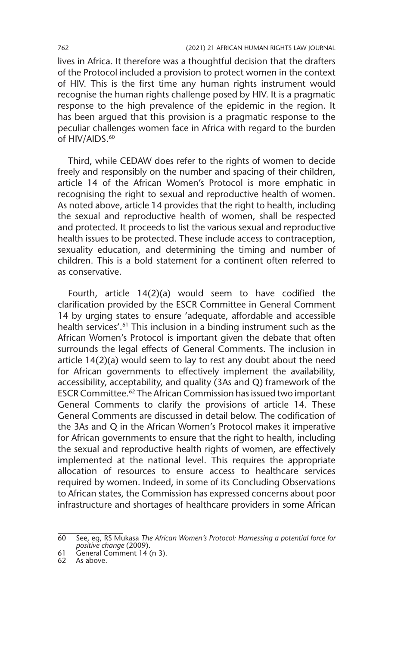lives in Africa. It therefore was a thoughtful decision that the drafters of the Protocol included a provision to protect women in the context of HIV. This is the first time any human rights instrument would recognise the human rights challenge posed by HIV. It is a pragmatic response to the high prevalence of the epidemic in the region. It has been argued that this provision is a pragmatic response to the peculiar challenges women face in Africa with regard to the burden of HIV/AIDS.<sup>60</sup>

Third, while CEDAW does refer to the rights of women to decide freely and responsibly on the number and spacing of their children, article 14 of the African Women's Protocol is more emphatic in recognising the right to sexual and reproductive health of women. As noted above, article 14 provides that the right to health, including the sexual and reproductive health of women, shall be respected and protected. It proceeds to list the various sexual and reproductive health issues to be protected. These include access to contraception, sexuality education, and determining the timing and number of children. This is a bold statement for a continent often referred to as conservative.

Fourth, article 14(2)(a) would seem to have codified the clarification provided by the ESCR Committee in General Comment 14 by urging states to ensure 'adequate, affordable and accessible health services'.<sup>61</sup> This inclusion in a binding instrument such as the African Women's Protocol is important given the debate that often surrounds the legal effects of General Comments. The inclusion in article 14(2)(a) would seem to lay to rest any doubt about the need for African governments to effectively implement the availability, accessibility, acceptability, and quality (3As and Q) framework of the ESCR Committee.62 The African Commission has issued two important General Comments to clarify the provisions of article 14. These General Comments are discussed in detail below. The codification of the 3As and Q in the African Women's Protocol makes it imperative for African governments to ensure that the right to health, including the sexual and reproductive health rights of women, are effectively implemented at the national level. This requires the appropriate allocation of resources to ensure access to healthcare services required by women. Indeed, in some of its Concluding Observations to African states, the Commission has expressed concerns about poor infrastructure and shortages of healthcare providers in some African

<sup>60</sup> See, eg, RS Mukasa *The African Women's Protocol: Harnessing a potential force for positive change* (2009).

<sup>61</sup> General Comment 14 (n 3).

<sup>62</sup> As above.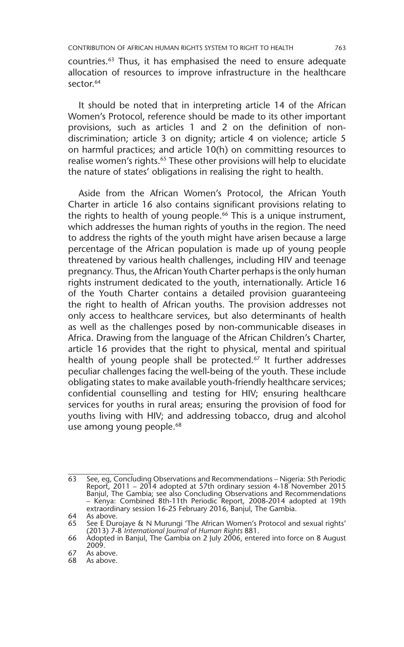countries.63 Thus, it has emphasised the need to ensure adequate allocation of resources to improve infrastructure in the healthcare sector.<sup>64</sup>

It should be noted that in interpreting article 14 of the African Women's Protocol, reference should be made to its other important provisions, such as articles 1 and 2 on the definition of nondiscrimination; article 3 on dignity; article 4 on violence; article 5 on harmful practices; and article 10(h) on committing resources to realise women's rights.<sup>65</sup> These other provisions will help to elucidate the nature of states' obligations in realising the right to health.

Aside from the African Women's Protocol, the African Youth Charter in article 16 also contains significant provisions relating to the rights to health of young people.<sup>66</sup> This is a unique instrument, which addresses the human rights of youths in the region. The need to address the rights of the youth might have arisen because a large percentage of the African population is made up of young people threatened by various health challenges, including HIV and teenage pregnancy. Thus, the African Youth Charter perhaps is the only human rights instrument dedicated to the youth, internationally. Article 16 of the Youth Charter contains a detailed provision guaranteeing the right to health of African youths. The provision addresses not only access to healthcare services, but also determinants of health as well as the challenges posed by non-communicable diseases in Africa. Drawing from the language of the African Children's Charter, article 16 provides that the right to physical, mental and spiritual health of young people shall be protected.<sup>67</sup> It further addresses peculiar challenges facing the well-being of the youth. These include obligating states to make available youth-friendly healthcare services; confidential counselling and testing for HIV; ensuring healthcare services for youths in rural areas; ensuring the provision of food for youths living with HIV; and addressing tobacco, drug and alcohol use among young people.<sup>68</sup>

<sup>63</sup> See, eg, Concluding Observations and Recommendations – Nigeria: 5th Periodic Report, 2011 – 2014 adopted at 57th ordinary session 4-18 November 2015 Banjul, The Gambia; see also Concluding Observations and Recommendations – Kenya: Combined 8th-11th Periodic Report, 2008-2014 adopted at 19th extraordinary session 16-25 February 2016, Banjul, The Gambia.

<sup>64</sup> As above.<br>65 See E Dur

See E Durojaye & N Murungi 'The African Women's Protocol and sexual rights' (2013) 7-8 *International Journal of Human Rights* 881.

<sup>66</sup> Adopted in Banjul, The Gambia on 2 July 2006, entered into force on 8 August 2009.

<sup>67</sup> As above.<br>68 As above.

As above.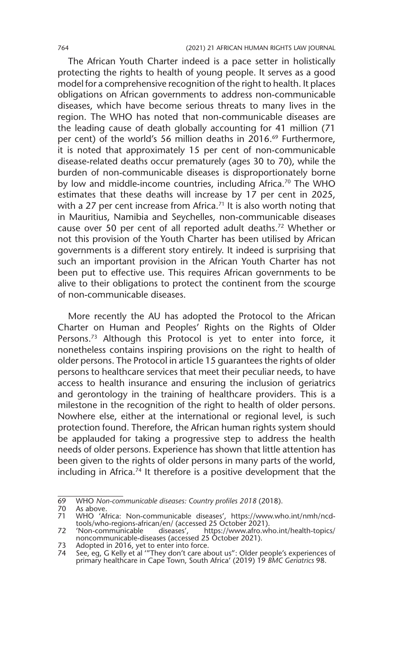The African Youth Charter indeed is a pace setter in holistically protecting the rights to health of young people. It serves as a good model for a comprehensive recognition of the right to health. It places obligations on African governments to address non-communicable diseases, which have become serious threats to many lives in the region. The WHO has noted that non-communicable diseases are the leading cause of death globally accounting for 41 million (71 per cent) of the world's 56 million deaths in 2016.<sup>69</sup> Furthermore, it is noted that approximately 15 per cent of non-communicable disease-related deaths occur prematurely (ages 30 to 70), while the burden of non-communicable diseases is disproportionately borne by low and middle-income countries, including Africa.<sup>70</sup> The WHO estimates that these deaths will increase by 17 per cent in 2025, with a 27 per cent increase from Africa.<sup>71</sup> It is also worth noting that in Mauritius, Namibia and Seychelles, non-communicable diseases cause over 50 per cent of all reported adult deaths.72 Whether or not this provision of the Youth Charter has been utilised by African governments is a different story entirely. It indeed is surprising that such an important provision in the African Youth Charter has not been put to effective use. This requires African governments to be alive to their obligations to protect the continent from the scourge of non-communicable diseases.

More recently the AU has adopted the Protocol to the African Charter on Human and Peoples' Rights on the Rights of Older Persons.<sup>73</sup> Although this Protocol is yet to enter into force, it nonetheless contains inspiring provisions on the right to health of older persons. The Protocol in article 15 guarantees the rights of older persons to healthcare services that meet their peculiar needs, to have access to health insurance and ensuring the inclusion of geriatrics and gerontology in the training of healthcare providers. This is a milestone in the recognition of the right to health of older persons. Nowhere else, either at the international or regional level, is such protection found. Therefore, the African human rights system should be applauded for taking a progressive step to address the health needs of older persons. Experience has shown that little attention has been given to the rights of older persons in many parts of the world, including in Africa.74 It therefore is a positive development that the

<sup>69</sup> WHO *Non-communicable diseases: Country profiles 2018* (2018).

<sup>70</sup> As above.<br>71 WHO 'Af

WHO 'Africa: Non-communicable diseases', https://www.who.int/nmh/ncdtools/who-regions-african/en/ (accessed 25 October 2021).<br>72 Yon-communicable diseases', https://www.afro.wl

https://www.afro.who.int/health-topics/ noncommunicable-diseases (accessed 25 October 2021).

<sup>73</sup> Adopted in 2016, yet to enter into force.

<sup>74</sup> See, eg, G Kelly et al '"They don't care about us": Older people's experiences of primary healthcare in Cape Town, South Africa' (2019) 19 *BMC Geriatrics* 98.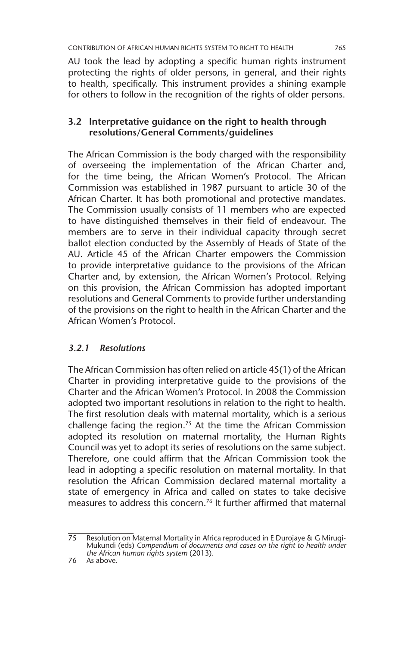AU took the lead by adopting a specific human rights instrument protecting the rights of older persons, in general, and their rights to health, specifically. This instrument provides a shining example for others to follow in the recognition of the rights of older persons.

#### **3.2 Interpretative guidance on the right to health through resolutions/General Comments/guidelines**

The African Commission is the body charged with the responsibility of overseeing the implementation of the African Charter and, for the time being, the African Women's Protocol. The African Commission was established in 1987 pursuant to article 30 of the African Charter. It has both promotional and protective mandates. The Commission usually consists of 11 members who are expected to have distinguished themselves in their field of endeavour. The members are to serve in their individual capacity through secret ballot election conducted by the Assembly of Heads of State of the AU. Article 45 of the African Charter empowers the Commission to provide interpretative guidance to the provisions of the African Charter and, by extension, the African Women's Protocol. Relying on this provision, the African Commission has adopted important resolutions and General Comments to provide further understanding of the provisions on the right to health in the African Charter and the African Women's Protocol.

#### *3.2.1 Resolutions*

The African Commission has often relied on article 45(1) of the African Charter in providing interpretative guide to the provisions of the Charter and the African Women's Protocol. In 2008 the Commission adopted two important resolutions in relation to the right to health. The first resolution deals with maternal mortality, which is a serious challenge facing the region.75 At the time the African Commission adopted its resolution on maternal mortality, the Human Rights Council was yet to adopt its series of resolutions on the same subject. Therefore, one could affirm that the African Commission took the lead in adopting a specific resolution on maternal mortality. In that resolution the African Commission declared maternal mortality a state of emergency in Africa and called on states to take decisive measures to address this concern.76 It further affirmed that maternal

<sup>75</sup> Resolution on Maternal Mortality in Africa reproduced in E Durojaye & G Mirugi-Mukundi (eds) *Compendium of documents and cases on the right to health under the African human rights system* (2013).

<sup>76</sup> As above.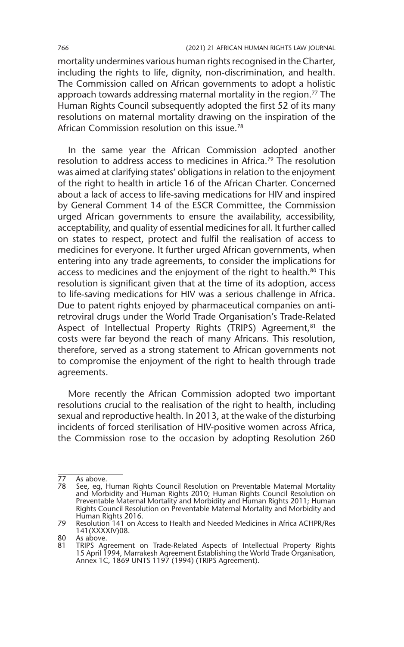mortality undermines various human rights recognised in the Charter, including the rights to life, dignity, non-discrimination, and health. The Commission called on African governments to adopt a holistic approach towards addressing maternal mortality in the region.<sup>77</sup> The Human Rights Council subsequently adopted the first 52 of its many resolutions on maternal mortality drawing on the inspiration of the African Commission resolution on this issue.<sup>78</sup>

In the same year the African Commission adopted another resolution to address access to medicines in Africa.<sup>79</sup> The resolution was aimed at clarifying states' obligations in relation to the enjoyment of the right to health in article 16 of the African Charter. Concerned about a lack of access to life-saving medications for HIV and inspired by General Comment 14 of the ESCR Committee, the Commission urged African governments to ensure the availability, accessibility, acceptability, and quality of essential medicines for all. It further called on states to respect, protect and fulfil the realisation of access to medicines for everyone. It further urged African governments, when entering into any trade agreements, to consider the implications for access to medicines and the enjoyment of the right to health.<sup>80</sup> This resolution is significant given that at the time of its adoption, access to life-saving medications for HIV was a serious challenge in Africa. Due to patent rights enjoyed by pharmaceutical companies on antiretroviral drugs under the World Trade Organisation's Trade-Related Aspect of Intellectual Property Rights (TRIPS) Agreement,<sup>81</sup> the costs were far beyond the reach of many Africans. This resolution, therefore, served as a strong statement to African governments not to compromise the enjoyment of the right to health through trade agreements.

More recently the African Commission adopted two important resolutions crucial to the realisation of the right to health, including sexual and reproductive health. In 2013, at the wake of the disturbing incidents of forced sterilisation of HIV-positive women across Africa, the Commission rose to the occasion by adopting Resolution 260

<sup>77</sup> As above.<br>78 See en l

See, eg, Human Rights Council Resolution on Preventable Maternal Mortality and Morbidity and Human Rights 2010; Human Rights Council Resolution on Preventable Maternal Mortality and Morbidity and Human Rights 2011; Human Rights Council Resolution on Preventable Maternal Mortality and Morbidity and Human Rights 2016.

<sup>79</sup> Resolution 141 on Access to Health and Needed Medicines in Africa ACHPR/Res 141(XXXXIV)08.

<sup>80</sup> As above.<br>81 TRIPS Ag

<sup>81</sup> TRIPS Agreement on Trade-Related Aspects of Intellectual Property Rights 15 April 1994, Marrakesh Agreement Establishing the World Trade Organisation, Annex 1C, 1869 UNTS 1197 (1994) (TRIPS Agreement).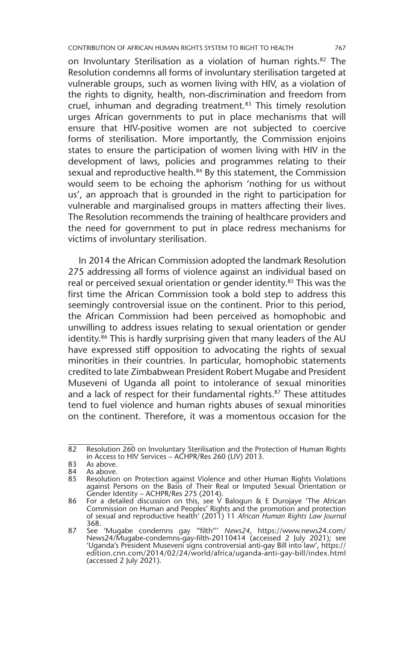on Involuntary Sterilisation as a violation of human rights.82 The Resolution condemns all forms of involuntary sterilisation targeted at vulnerable groups, such as women living with HIV, as a violation of the rights to dignity, health, non-discrimination and freedom from cruel, inhuman and degrading treatment.<sup>83</sup> This timely resolution urges African governments to put in place mechanisms that will ensure that HIV-positive women are not subjected to coercive forms of sterilisation. More importantly, the Commission enjoins states to ensure the participation of women living with HIV in the development of laws, policies and programmes relating to their sexual and reproductive health.<sup>84</sup> By this statement, the Commission would seem to be echoing the aphorism 'nothing for us without us', an approach that is grounded in the right to participation for vulnerable and marginalised groups in matters affecting their lives. The Resolution recommends the training of healthcare providers and the need for government to put in place redress mechanisms for victims of involuntary sterilisation.

In 2014 the African Commission adopted the landmark Resolution 275 addressing all forms of violence against an individual based on real or perceived sexual orientation or gender identity.<sup>85</sup> This was the first time the African Commission took a bold step to address this seemingly controversial issue on the continent. Prior to this period, the African Commission had been perceived as homophobic and unwilling to address issues relating to sexual orientation or gender identity.<sup>86</sup> This is hardly surprising given that many leaders of the AU have expressed stiff opposition to advocating the rights of sexual minorities in their countries. In particular, homophobic statements credited to late Zimbabwean President Robert Mugabe and President Museveni of Uganda all point to intolerance of sexual minorities and a lack of respect for their fundamental rights.<sup>87</sup> These attitudes tend to fuel violence and human rights abuses of sexual minorities on the continent. Therefore, it was a momentous occasion for the

<sup>82</sup> Resolution 260 on Involuntary Sterilisation and the Protection of Human Rights in Access to HIV Services – ACHPR/Res 260 (LIV) 2013.

<sup>83</sup> As above.<br>84 As above.

<sup>84</sup> As above.<br>85 Resolution

<sup>85</sup> Resolution on Protection against Violence and other Human Rights Violations against Persons on the Basis of Their Real or Imputed Sexual Orientation or Gender Identity – ACHPR/Res 275 (2014).

<sup>86</sup> For a detailed discussion on this, see V Balogun & E Durojaye 'The African Commission on Human and Peoples' Rights and the promotion and protection of sexual and reproductive health' (2011) 11 *African Human Rights Law Journal* 

<sup>368.</sup> 87 See 'Mugabe condemns gay "filth"' *News24*, https://www.news24.com/ News24/Mugabe-condemns-gay-filth-20110414 (accessed 2 July 2021); see 'Uganda's President Museveni signs controversial anti-gay Bill into law', https:// edition.cnn.com/2014/02/24/world/africa/uganda-anti-gay-bill/index.html (accessed 2 July 2021).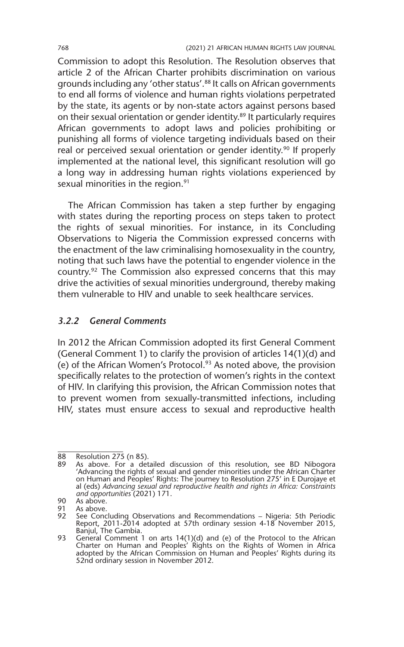Commission to adopt this Resolution. The Resolution observes that article 2 of the African Charter prohibits discrimination on various grounds including any 'other status'.88 It calls on African governments to end all forms of violence and human rights violations perpetrated by the state, its agents or by non-state actors against persons based on their sexual orientation or gender identity.89 It particularly requires African governments to adopt laws and policies prohibiting or punishing all forms of violence targeting individuals based on their real or perceived sexual orientation or gender identity.<sup>90</sup> If properly implemented at the national level, this significant resolution will go a long way in addressing human rights violations experienced by sexual minorities in the region.<sup>91</sup>

The African Commission has taken a step further by engaging with states during the reporting process on steps taken to protect the rights of sexual minorities. For instance, in its Concluding Observations to Nigeria the Commission expressed concerns with the enactment of the law criminalising homosexuality in the country, noting that such laws have the potential to engender violence in the country.92 The Commission also expressed concerns that this may drive the activities of sexual minorities underground, thereby making them vulnerable to HIV and unable to seek healthcare services.

#### *3.2.2 General Comments*

In 2012 the African Commission adopted its first General Comment (General Comment 1) to clarify the provision of articles 14(1)(d) and (e) of the African Women's Protocol.93 As noted above, the provision specifically relates to the protection of women's rights in the context of HIV. In clarifying this provision, the African Commission notes that to prevent women from sexually-transmitted infections, including HIV, states must ensure access to sexual and reproductive health

 $\overline{88}$  Resolution 275 (n 85).<br>89 As above For a det

As above. For a detailed discussion of this resolution, see BD Nibogora 'Advancing the rights of sexual and gender minorities under the African Charter on Human and Peoples' Rights: The journey to Resolution 275' in E Durojaye et al (eds) *Advancing sexual and reproductive health and rights in Africa: Constraints and opportunities* (2021) 171.

<sup>90</sup> As above.<br>91 As above.

As above.

<sup>92</sup> See Concluding Observations and Recommendations – Nigeria: 5th Periodic Report, 2011-2014 adopted at 57th ordinary session 4-18 November 2015, Banjul, The Gambia.

<sup>93</sup> General Comment 1 on arts 14(1)(d) and (e) of the Protocol to the African Charter on Human and Peoples' Rights on the Rights of Women in Africa adopted by the African Commission on Human and Peoples' Rights during its 52nd ordinary session in November 2012.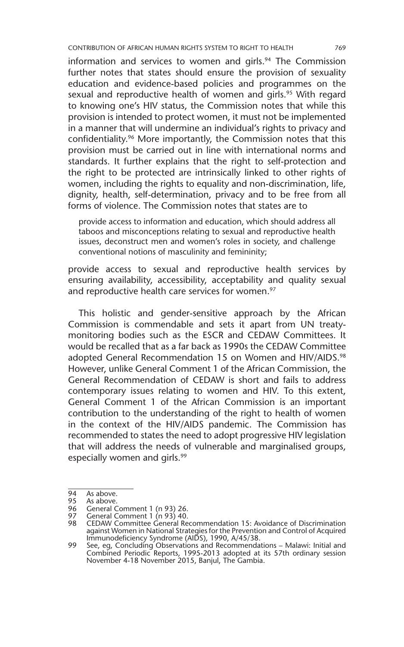information and services to women and girls.<sup>94</sup> The Commission further notes that states should ensure the provision of sexuality education and evidence-based policies and programmes on the sexual and reproductive health of women and girls.<sup>95</sup> With regard to knowing one's HIV status, the Commission notes that while this provision is intended to protect women, it must not be implemented in a manner that will undermine an individual's rights to privacy and confidentiality.96 More importantly, the Commission notes that this provision must be carried out in line with international norms and standards. It further explains that the right to self-protection and the right to be protected are intrinsically linked to other rights of women, including the rights to equality and non-discrimination, life, dignity, health, self-determination, privacy and to be free from all forms of violence. The Commission notes that states are to

provide access to information and education, which should address all taboos and misconceptions relating to sexual and reproductive health issues, deconstruct men and women's roles in society, and challenge conventional notions of masculinity and femininity;

provide access to sexual and reproductive health services by ensuring availability, accessibility, acceptability and quality sexual and reproductive health care services for women.<sup>97</sup>

This holistic and gender-sensitive approach by the African Commission is commendable and sets it apart from UN treatymonitoring bodies such as the ESCR and CEDAW Committees. It would be recalled that as a far back as 1990s the CEDAW Committee adopted General Recommendation 15 on Women and HIV/AIDS.<sup>98</sup> However, unlike General Comment 1 of the African Commission, the General Recommendation of CEDAW is short and fails to address contemporary issues relating to women and HIV. To this extent, General Comment 1 of the African Commission is an important contribution to the understanding of the right to health of women in the context of the HIV/AIDS pandemic. The Commission has recommended to states the need to adopt progressive HIV legislation that will address the needs of vulnerable and marginalised groups, especially women and girls.<sup>99</sup>

 $\overline{94}$  As above.<br>95 As above.

<sup>95</sup> As above.<br>96 General C

<sup>96</sup> General Comment 1 (n 93) 26.<br>97 General Comment 1 (n 93) 40.

General Comment 1 (n 93) 40.

<sup>98</sup> CEDAW Committee General Recommendation 15: Avoidance of Discrimination against Women in National Strategies for the Prevention and Control of Acquired Immunodeficiency Syndrome (AIDS), 1990, A/45/38.

<sup>99</sup> See, eg, Concluding Observations and Recommendations – Malawi: Initial and Combined Periodic Reports, 1995-2013 adopted at its 57th ordinary session November 4-18 November 2015, Banjul, The Gambia.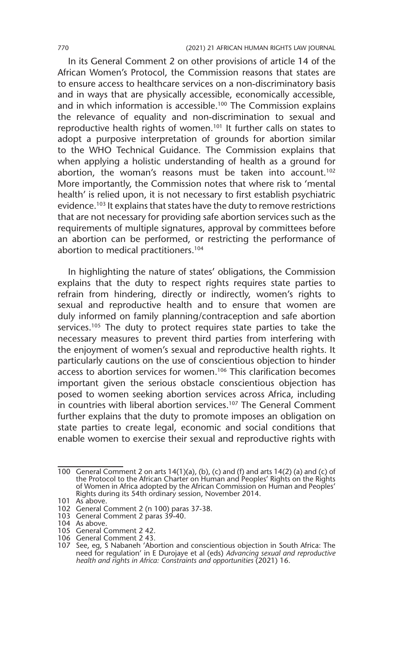In its General Comment 2 on other provisions of article 14 of the African Women's Protocol, the Commission reasons that states are to ensure access to healthcare services on a non-discriminatory basis and in ways that are physically accessible, economically accessible, and in which information is accessible.<sup>100</sup> The Commission explains the relevance of equality and non-discrimination to sexual and reproductive health rights of women.<sup>101</sup> It further calls on states to adopt a purposive interpretation of grounds for abortion similar to the WHO Technical Guidance. The Commission explains that when applying a holistic understanding of health as a ground for abortion, the woman's reasons must be taken into account.<sup>102</sup> More importantly, the Commission notes that where risk to 'mental health' is relied upon, it is not necessary to first establish psychiatric evidence.103 It explains that states have the duty to remove restrictions that are not necessary for providing safe abortion services such as the requirements of multiple signatures, approval by committees before an abortion can be performed, or restricting the performance of abortion to medical practitioners.104

In highlighting the nature of states' obligations, the Commission explains that the duty to respect rights requires state parties to refrain from hindering, directly or indirectly, women's rights to sexual and reproductive health and to ensure that women are duly informed on family planning/contraception and safe abortion services.<sup>105</sup> The duty to protect requires state parties to take the necessary measures to prevent third parties from interfering with the enjoyment of women's sexual and reproductive health rights. It particularly cautions on the use of conscientious objection to hinder access to abortion services for women.<sup>106</sup> This clarification becomes important given the serious obstacle conscientious objection has posed to women seeking abortion services across Africa, including in countries with liberal abortion services.<sup>107</sup> The General Comment further explains that the duty to promote imposes an obligation on state parties to create legal, economic and social conditions that enable women to exercise their sexual and reproductive rights with

<sup>100</sup> General Comment 2 on arts 14(1)(a), (b), (c) and (f) and arts 14(2) (a) and (c) of the Protocol to the African Charter on Human and Peoples' Rights on the Rights of Women in Africa adopted by the African Commission on Human and Peoples' Rights during its 54th ordinary session, November 2014.

<sup>101</sup> As above.

<sup>102</sup> General Comment 2 (n 100) paras 37-38.

<sup>103</sup> General Comment 2 paras 39-40.

<sup>104</sup> As above. 105 General Comment 2 42.

<sup>106</sup> General Comment 2 43.

<sup>107</sup> See, eg, S Nabaneh 'Abortion and conscientious objection in South Africa: The need for regulation' in E Durojaye et al (eds) *Advancing sexual and reproductive health and rights in Africa: Constraints and opportunities* (2021) 16.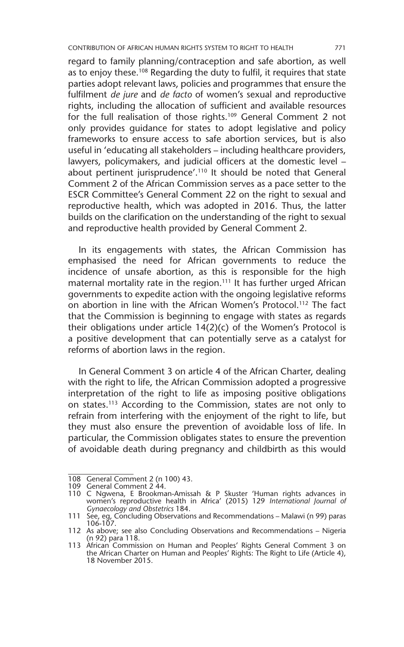regard to family planning/contraception and safe abortion, as well as to enjoy these.<sup>108</sup> Regarding the duty to fulfil, it requires that state parties adopt relevant laws, policies and programmes that ensure the fulfilment *de jure* and *de facto* of women's sexual and reproductive rights, including the allocation of sufficient and available resources for the full realisation of those rights.<sup>109</sup> General Comment 2 not only provides guidance for states to adopt legislative and policy frameworks to ensure access to safe abortion services, but is also useful in 'educating all stakeholders – including healthcare providers, lawyers, policymakers, and judicial officers at the domestic level – about pertinent jurisprudence'.110 It should be noted that General Comment 2 of the African Commission serves as a pace setter to the ESCR Committee's General Comment 22 on the right to sexual and reproductive health, which was adopted in 2016. Thus, the latter builds on the clarification on the understanding of the right to sexual and reproductive health provided by General Comment 2.

In its engagements with states, the African Commission has emphasised the need for African governments to reduce the incidence of unsafe abortion, as this is responsible for the high maternal mortality rate in the region.<sup>111</sup> It has further urged African governments to expedite action with the ongoing legislative reforms on abortion in line with the African Women's Protocol.112 The fact that the Commission is beginning to engage with states as regards their obligations under article 14(2)(c) of the Women's Protocol is a positive development that can potentially serve as a catalyst for reforms of abortion laws in the region.

In General Comment 3 on article 4 of the African Charter, dealing with the right to life, the African Commission adopted a progressive interpretation of the right to life as imposing positive obligations on states.113 According to the Commission, states are not only to refrain from interfering with the enjoyment of the right to life, but they must also ensure the prevention of avoidable loss of life. In particular, the Commission obligates states to ensure the prevention of avoidable death during pregnancy and childbirth as this would

<sup>108</sup> General Comment 2 (n 100) 43.

<sup>109</sup> General Comment 2 44.

<sup>110</sup> C Ngwena, E Brookman-Amissah & P Skuster 'Human rights advances in women's reproductive health in Africa' (2015) 129 *International Journal of Gynaecology and Obstetrics* 184.

<sup>111</sup> See, eg, Concluding Observations and Recommendations - Malawi (n 99) paras 106-107.

<sup>112</sup> As above; see also Concluding Observations and Recommendations – Nigeria (n 92) para 118.

<sup>113</sup> African Commission on Human and Peoples' Rights General Comment 3 on the African Charter on Human and Peoples' Rights: The Right to Life (Article 4), 18 November 2015.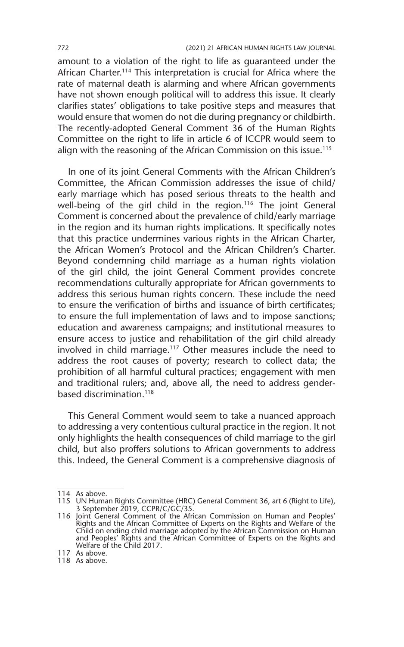amount to a violation of the right to life as guaranteed under the African Charter.<sup>114</sup> This interpretation is crucial for Africa where the rate of maternal death is alarming and where African governments have not shown enough political will to address this issue. It clearly clarifies states' obligations to take positive steps and measures that would ensure that women do not die during pregnancy or childbirth. The recently-adopted General Comment 36 of the Human Rights Committee on the right to life in article 6 of ICCPR would seem to align with the reasoning of the African Commission on this issue.<sup>115</sup>

In one of its joint General Comments with the African Children's Committee, the African Commission addresses the issue of child/ early marriage which has posed serious threats to the health and well-being of the girl child in the region.<sup>116</sup> The joint General Comment is concerned about the prevalence of child/early marriage in the region and its human rights implications. It specifically notes that this practice undermines various rights in the African Charter, the African Women's Protocol and the African Children's Charter. Beyond condemning child marriage as a human rights violation of the girl child, the joint General Comment provides concrete recommendations culturally appropriate for African governments to address this serious human rights concern. These include the need to ensure the verification of births and issuance of birth certificates; to ensure the full implementation of laws and to impose sanctions; education and awareness campaigns; and institutional measures to ensure access to justice and rehabilitation of the girl child already involved in child marriage.117 Other measures include the need to address the root causes of poverty; research to collect data; the prohibition of all harmful cultural practices; engagement with men and traditional rulers; and, above all, the need to address genderbased discrimination.<sup>118</sup>

This General Comment would seem to take a nuanced approach to addressing a very contentious cultural practice in the region. It not only highlights the health consequences of child marriage to the girl child, but also proffers solutions to African governments to address this. Indeed, the General Comment is a comprehensive diagnosis of

<sup>114</sup> As above.

<sup>115</sup> UN Human Rights Committee (HRC) General Comment 36, art 6 (Right to Life), 3 September 2019, CCPR/C/GC/35.

<sup>116</sup> Joint General Comment of the African Commission on Human and Peoples' Rights and the African Committee of Experts on the Rights and Welfare of the Child on ending child marriage adopted by the African Commission on Human and Peoples' Rights and the African Committee of Experts on the Rights and Welfare of the Child 2017.

<sup>117</sup> As above.

<sup>118</sup> As above.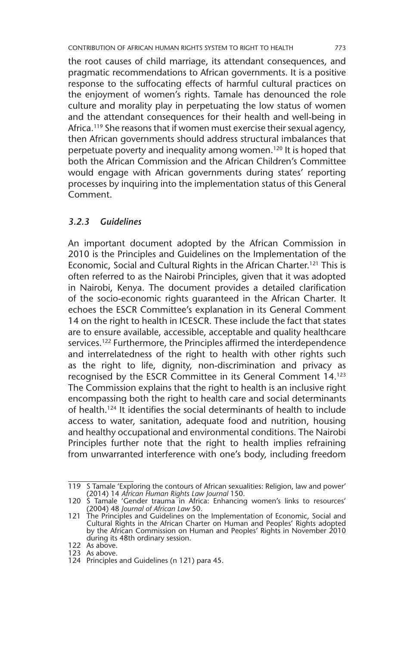the root causes of child marriage, its attendant consequences, and pragmatic recommendations to African governments. It is a positive response to the suffocating effects of harmful cultural practices on the enjoyment of women's rights. Tamale has denounced the role culture and morality play in perpetuating the low status of women and the attendant consequences for their health and well-being in Africa.<sup>119</sup> She reasons that if women must exercise their sexual agency, then African governments should address structural imbalances that perpetuate poverty and inequality among women.120 It is hoped that both the African Commission and the African Children's Committee would engage with African governments during states' reporting processes by inquiring into the implementation status of this General Comment.

#### *3.2.3 Guidelines*

An important document adopted by the African Commission in 2010 is the Principles and Guidelines on the Implementation of the Economic, Social and Cultural Rights in the African Charter.121 This is often referred to as the Nairobi Principles, given that it was adopted in Nairobi, Kenya. The document provides a detailed clarification of the socio-economic rights guaranteed in the African Charter. It echoes the ESCR Committee's explanation in its General Comment 14 on the right to health in ICESCR. These include the fact that states are to ensure available, accessible, acceptable and quality healthcare services.<sup>122</sup> Furthermore, the Principles affirmed the interdependence and interrelatedness of the right to health with other rights such as the right to life, dignity, non-discrimination and privacy as recognised by the ESCR Committee in its General Comment 14.123 The Commission explains that the right to health is an inclusive right encompassing both the right to health care and social determinants of health.124 It identifies the social determinants of health to include access to water, sanitation, adequate food and nutrition, housing and healthy occupational and environmental conditions. The Nairobi Principles further note that the right to health implies refraining from unwarranted interference with one's body, including freedom

<sup>119</sup> S Tamale 'Exploring the contours of African sexualities: Religion, law and power' (2014) 14 *African Human Rights Law Journal* 150.

<sup>120</sup> S Tamale 'Gender trauma in Africa: Enhancing women's links to resources' (2004) 48 *Journal of African Law* 50.

<sup>121</sup> The Principles and Guidelines on the Implementation of Economic, Social and Cultural Rights in the African Charter on Human and Peoples' Rights adopted by the African Commission on Human and Peoples' Rights in November 2010 during its 48th ordinary session.

<sup>122</sup> As above. 123 As above.

<sup>124</sup> Principles and Guidelines (n 121) para 45.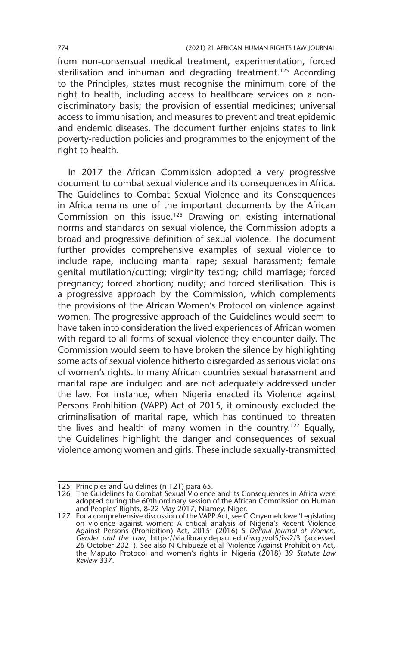from non-consensual medical treatment, experimentation, forced sterilisation and inhuman and degrading treatment.<sup>125</sup> According to the Principles, states must recognise the minimum core of the right to health, including access to healthcare services on a nondiscriminatory basis; the provision of essential medicines; universal access to immunisation; and measures to prevent and treat epidemic and endemic diseases. The document further enjoins states to link poverty-reduction policies and programmes to the enjoyment of the right to health.

In 2017 the African Commission adopted a very progressive document to combat sexual violence and its consequences in Africa. The Guidelines to Combat Sexual Violence and its Consequences in Africa remains one of the important documents by the African Commission on this issue.<sup>126</sup> Drawing on existing international norms and standards on sexual violence, the Commission adopts a broad and progressive definition of sexual violence. The document further provides comprehensive examples of sexual violence to include rape, including marital rape; sexual harassment; female genital mutilation/cutting; virginity testing; child marriage; forced pregnancy; forced abortion; nudity; and forced sterilisation. This is a progressive approach by the Commission, which complements the provisions of the African Women's Protocol on violence against women. The progressive approach of the Guidelines would seem to have taken into consideration the lived experiences of African women with regard to all forms of sexual violence they encounter daily. The Commission would seem to have broken the silence by highlighting some acts of sexual violence hitherto disregarded as serious violations of women's rights. In many African countries sexual harassment and marital rape are indulged and are not adequately addressed under the law. For instance, when Nigeria enacted its Violence against Persons Prohibition (VAPP) Act of 2015, it ominously excluded the criminalisation of marital rape, which has continued to threaten the lives and health of many women in the country.127 Equally, the Guidelines highlight the danger and consequences of sexual violence among women and girls. These include sexually-transmitted

<sup>125</sup> Principles and Guidelines (n 121) para 65.

<sup>126</sup> The Guidelines to Combat Sexual Violence and its Consequences in Africa were adopted during the 60th ordinary session of the African Commission on Human and Peoples' Rights, 8-22 May 2017, Niamey, Niger.

<sup>127</sup> For a comprehensive discussion of the VAPP Act, see C Onyemelukwe 'Legislating on violence against women: A critical analysis of Nigeria's Recent Violence<br>Against Persons (Prohibition) Act, 2015' (2016) 5 *DePaul Journal of Women,*<br>*Gender and the Law,* https://via.library.depaul.edu/jwgl/vol5/iss2/3 26 October 2021). See also N Chibueze et al 'Violence Against Prohibition Act, the Maputo Protocol and women's rights in Nigeria (2018) 39 *Statute Law Review* 337.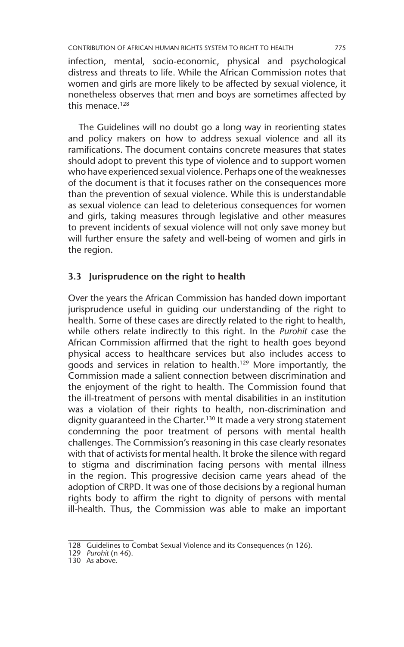infection, mental, socio-economic, physical and psychological distress and threats to life. While the African Commission notes that women and girls are more likely to be affected by sexual violence, it nonetheless observes that men and boys are sometimes affected by this menace.128

The Guidelines will no doubt go a long way in reorienting states and policy makers on how to address sexual violence and all its ramifications. The document contains concrete measures that states should adopt to prevent this type of violence and to support women who have experienced sexual violence. Perhaps one of the weaknesses of the document is that it focuses rather on the consequences more than the prevention of sexual violence. While this is understandable as sexual violence can lead to deleterious consequences for women and girls, taking measures through legislative and other measures to prevent incidents of sexual violence will not only save money but will further ensure the safety and well-being of women and girls in the region.

#### **3.3 Jurisprudence on the right to health**

Over the years the African Commission has handed down important jurisprudence useful in guiding our understanding of the right to health. Some of these cases are directly related to the right to health, while others relate indirectly to this right. In the *Purohit* case the African Commission affirmed that the right to health goes beyond physical access to healthcare services but also includes access to goods and services in relation to health.129 More importantly, the Commission made a salient connection between discrimination and the enjoyment of the right to health. The Commission found that the ill-treatment of persons with mental disabilities in an institution was a violation of their rights to health, non-discrimination and dignity guaranteed in the Charter.<sup>130</sup> It made a very strong statement condemning the poor treatment of persons with mental health challenges. The Commission's reasoning in this case clearly resonates with that of activists for mental health. It broke the silence with regard to stigma and discrimination facing persons with mental illness in the region. This progressive decision came years ahead of the adoption of CRPD. It was one of those decisions by a regional human rights body to affirm the right to dignity of persons with mental ill-health. Thus, the Commission was able to make an important

<sup>128</sup> Guidelines to Combat Sexual Violence and its Consequences (n 126)*.*

<sup>129</sup> *Purohit* (n 46).

<sup>130</sup> As above.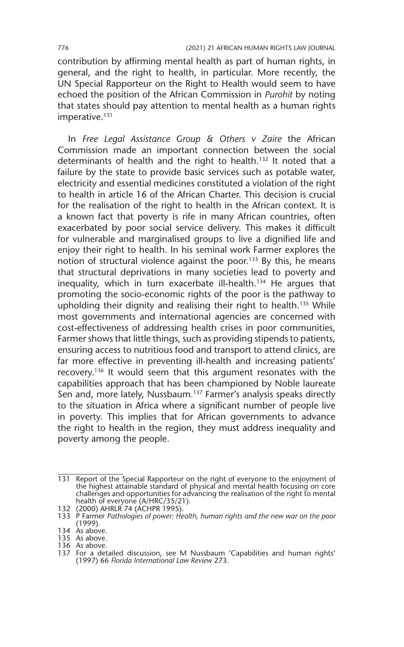contribution by affirming mental health as part of human rights, in general, and the right to health, in particular. More recently, the UN Special Rapporteur on the Right to Health would seem to have echoed the position of the African Commission in *Purohit* by noting that states should pay attention to mental health as a human rights  $imperative.<sup>131</sup>$ 

In *Free Legal Assistance Group & Others v Zaire* the African Commission made an important connection between the social determinants of health and the right to health.<sup>132</sup> It noted that a failure by the state to provide basic services such as potable water, electricity and essential medicines constituted a violation of the right to health in article 16 of the African Charter. This decision is crucial for the realisation of the right to health in the African context. It is a known fact that poverty is rife in many African countries, often exacerbated by poor social service delivery. This makes it difficult for vulnerable and marginalised groups to live a dignified life and enjoy their right to health. In his seminal work Farmer explores the notion of structural violence against the poor.<sup>133</sup> By this, he means that structural deprivations in many societies lead to poverty and inequality, which in turn exacerbate ill-health.134 He argues that promoting the socio-economic rights of the poor is the pathway to upholding their dignity and realising their right to health.<sup>135</sup> While most governments and international agencies are concerned with cost-effectiveness of addressing health crises in poor communities, Farmer shows that little things, such as providing stipends to patients, ensuring access to nutritious food and transport to attend clinics, are far more effective in preventing ill-health and increasing patients' recovery.136 It would seem that this argument resonates with the capabilities approach that has been championed by Noble laureate Sen and, more lately, Nussbaum.<sup>137</sup> Farmer's analysis speaks directly to the situation in Africa where a significant number of people live in poverty. This implies that for African governments to advance the right to health in the region, they must address inequality and poverty among the people.

<sup>131</sup> Report of the Special Rapporteur on the right of everyone to the enjoyment of the highest attainable standard of physical and mental health focusing on core challenges and opportunities for advancing the realisation of the right to mental health of everyone (A/HRC/35/21).

<sup>132</sup> (2000) AHRLR 74 (ACHPR 1995).

<sup>133</sup> P Farmer *Pathologies of power: Health, human rights and the new war on the poor* (1999). 134 As above. 135 As above.

<sup>136</sup> As above.

<sup>137</sup> For a detailed discussion, see M Nussbaum 'Capabilities and human rights' (1997) 66 *Florida International Law Review* 273.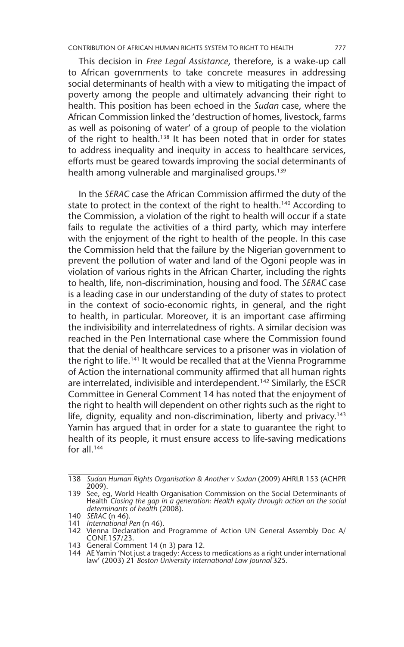This decision in *Free Legal Assistance*, therefore, is a wake-up call to African governments to take concrete measures in addressing social determinants of health with a view to mitigating the impact of poverty among the people and ultimately advancing their right to health. This position has been echoed in the *Sudan* case, where the African Commission linked the 'destruction of homes, livestock, farms as well as poisoning of water' of a group of people to the violation of the right to health.<sup>138</sup> It has been noted that in order for states to address inequality and inequity in access to healthcare services, efforts must be geared towards improving the social determinants of health among vulnerable and marginalised groups.<sup>139</sup>

In the *SERAC* case the African Commission affirmed the duty of the state to protect in the context of the right to health.<sup>140</sup> According to the Commission, a violation of the right to health will occur if a state fails to regulate the activities of a third party, which may interfere with the enjoyment of the right to health of the people. In this case the Commission held that the failure by the Nigerian government to prevent the pollution of water and land of the Ogoni people was in violation of various rights in the African Charter, including the rights to health, life, non-discrimination, housing and food. The *SERAC* case is a leading case in our understanding of the duty of states to protect in the context of socio-economic rights, in general, and the right to health, in particular. Moreover, it is an important case affirming the indivisibility and interrelatedness of rights. A similar decision was reached in the Pen International case where the Commission found that the denial of healthcare services to a prisoner was in violation of the right to life.<sup>141</sup> It would be recalled that at the Vienna Programme of Action the international community affirmed that all human rights are interrelated, indivisible and interdependent.<sup>142</sup> Similarly, the ESCR Committee in General Comment 14 has noted that the enjoyment of the right to health will dependent on other rights such as the right to life, dignity, equality and non-discrimination, liberty and privacy.<sup>143</sup> Yamin has argued that in order for a state to guarantee the right to health of its people, it must ensure access to life-saving medications for all  $144$ 

<sup>138</sup> *Sudan Human Rights Organisation & Another v Sudan* (2009) AHRLR 153 (ACHPR 2009).

<sup>139</sup> See, eg, World Health Organisation Commission on the Social Determinants of Health *Closing the gap in a generation: Health equity through action on the social determinants of health* (2008).

<sup>140</sup> *SERAC* (n 46).

<sup>141</sup> *International Pen* (n 46). 142 Vienna Declaration and Programme of Action UN General Assembly Doc A/ CONF.157/23.

<sup>143</sup> General Comment 14 (n 3) para 12.

<sup>144</sup> AE Yamin 'Not just a tragedy: Access to medications as a right under international law' (2003) 21 *Boston University International Law Journal* 325.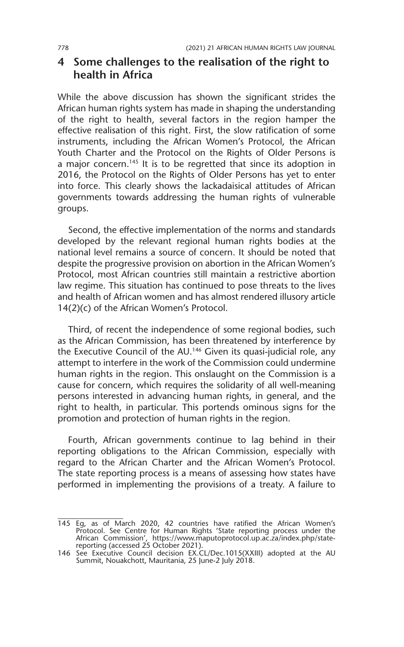#### **4 Some challenges to the realisation of the right to health in Africa**

While the above discussion has shown the significant strides the African human rights system has made in shaping the understanding of the right to health, several factors in the region hamper the effective realisation of this right. First, the slow ratification of some instruments, including the African Women's Protocol, the African Youth Charter and the Protocol on the Rights of Older Persons is a major concern.<sup>145</sup> It is to be regretted that since its adoption in 2016, the Protocol on the Rights of Older Persons has yet to enter into force. This clearly shows the lackadaisical attitudes of African governments towards addressing the human rights of vulnerable groups.

Second, the effective implementation of the norms and standards developed by the relevant regional human rights bodies at the national level remains a source of concern. It should be noted that despite the progressive provision on abortion in the African Women's Protocol, most African countries still maintain a restrictive abortion law regime. This situation has continued to pose threats to the lives and health of African women and has almost rendered illusory article 14(2)(c) of the African Women's Protocol.

Third, of recent the independence of some regional bodies, such as the African Commission, has been threatened by interference by the Executive Council of the AU.146 Given its quasi-judicial role, any attempt to interfere in the work of the Commission could undermine human rights in the region. This onslaught on the Commission is a cause for concern, which requires the solidarity of all well-meaning persons interested in advancing human rights, in general, and the right to health, in particular. This portends ominous signs for the promotion and protection of human rights in the region.

Fourth, African governments continue to lag behind in their reporting obligations to the African Commission, especially with regard to the African Charter and the African Women's Protocol. The state reporting process is a means of assessing how states have performed in implementing the provisions of a treaty. A failure to

<sup>145</sup> Eg, as of March 2020, 42 countries have ratified the African Women's Protocol. See Centre for Human Rights 'State reporting process under the African Commission', https://www.maputoprotocol.up.ac.za/index.php/statereporting (accessed 25 October 2021).

<sup>146</sup> See Executive Council decision EX.CL/Dec.1015(XXIII) adopted at the AU Summit, Nouakchott, Mauritania, 25 June-2 July 2018.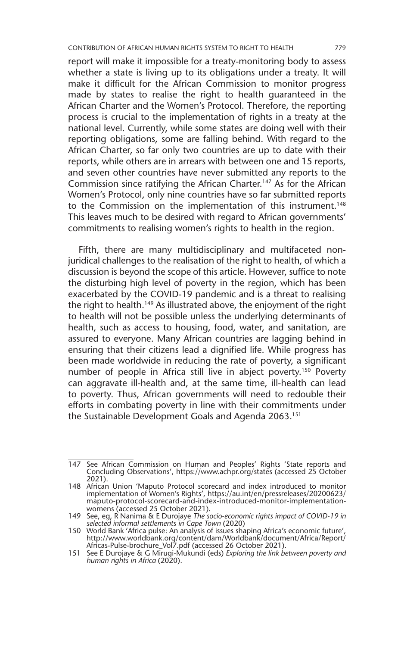report will make it impossible for a treaty-monitoring body to assess whether a state is living up to its obligations under a treaty. It will make it difficult for the African Commission to monitor progress made by states to realise the right to health guaranteed in the African Charter and the Women's Protocol. Therefore, the reporting process is crucial to the implementation of rights in a treaty at the national level. Currently, while some states are doing well with their reporting obligations, some are falling behind. With regard to the African Charter, so far only two countries are up to date with their reports, while others are in arrears with between one and 15 reports, and seven other countries have never submitted any reports to the Commission since ratifying the African Charter.147 As for the African Women's Protocol, only nine countries have so far submitted reports to the Commission on the implementation of this instrument.<sup>148</sup> This leaves much to be desired with regard to African governments' commitments to realising women's rights to health in the region.

Fifth, there are many multidisciplinary and multifaceted nonjuridical challenges to the realisation of the right to health, of which a discussion is beyond the scope of this article. However, suffice to note the disturbing high level of poverty in the region, which has been exacerbated by the COVID-19 pandemic and is a threat to realising the right to health.149 As illustrated above, the enjoyment of the right to health will not be possible unless the underlying determinants of health, such as access to housing, food, water, and sanitation, are assured to everyone. Many African countries are lagging behind in ensuring that their citizens lead a dignified life. While progress has been made worldwide in reducing the rate of poverty, a significant number of people in Africa still live in abject poverty.<sup>150</sup> Poverty can aggravate ill-health and, at the same time, ill-health can lead to poverty. Thus, African governments will need to redouble their efforts in combating poverty in line with their commitments under the Sustainable Development Goals and Agenda 2063.<sup>151</sup>

<sup>147</sup> See African Commission on Human and Peoples' Rights 'State reports and Concluding Observations', https://www.achpr.org/states (accessed 25 October 2021).

<sup>148</sup> African Union 'Maputo Protocol scorecard and index introduced to monitor implementation of Women's Rights', https://au.int/en/pressreleases/20200623/ maputo-protocol-scorecard-and-index-introduced-monitor-implementationwomens (accessed 25 October 2021).

<sup>149</sup> See, eg, R Nanima & E Durojaye *The socio-economic rights impact of COVID-19 in* 

*selected informal settlements in Cape Town* (2020) 150 World Bank 'Africa pulse: An analysis of issues shaping Africa's economic future', http://www.worldbank.org/content/dam/Worldbank/document/Africa/Report/ Africas-Pulse-brochure\_Vol7.pdf (accessed 26 October 2021).

<sup>151</sup> See E Durojaye & G Mirugi-Mukundi (eds) *Exploring the link between poverty and human rights in Africa* (2020).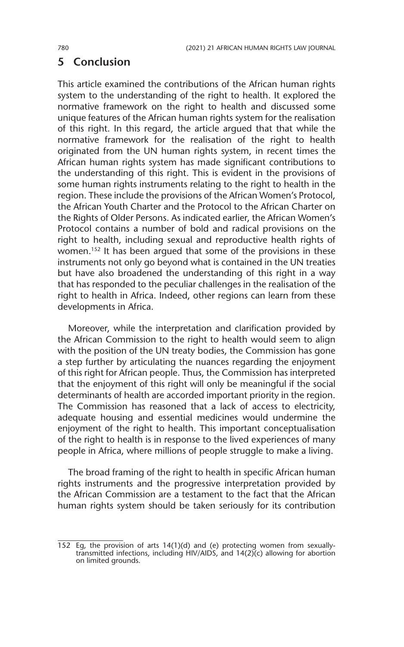#### **5 Conclusion**

This article examined the contributions of the African human rights system to the understanding of the right to health. It explored the normative framework on the right to health and discussed some unique features of the African human rights system for the realisation of this right. In this regard, the article argued that that while the normative framework for the realisation of the right to health originated from the UN human rights system, in recent times the African human rights system has made significant contributions to the understanding of this right. This is evident in the provisions of some human rights instruments relating to the right to health in the region. These include the provisions of the African Women's Protocol, the African Youth Charter and the Protocol to the African Charter on the Rights of Older Persons. As indicated earlier, the African Women's Protocol contains a number of bold and radical provisions on the right to health, including sexual and reproductive health rights of women.152 It has been argued that some of the provisions in these instruments not only go beyond what is contained in the UN treaties but have also broadened the understanding of this right in a way that has responded to the peculiar challenges in the realisation of the right to health in Africa. Indeed, other regions can learn from these developments in Africa.

Moreover, while the interpretation and clarification provided by the African Commission to the right to health would seem to align with the position of the UN treaty bodies, the Commission has gone a step further by articulating the nuances regarding the enjoyment of this right for African people. Thus, the Commission has interpreted that the enjoyment of this right will only be meaningful if the social determinants of health are accorded important priority in the region. The Commission has reasoned that a lack of access to electricity, adequate housing and essential medicines would undermine the enjoyment of the right to health. This important conceptualisation of the right to health is in response to the lived experiences of many people in Africa, where millions of people struggle to make a living.

The broad framing of the right to health in specific African human rights instruments and the progressive interpretation provided by the African Commission are a testament to the fact that the African human rights system should be taken seriously for its contribution

<sup>152</sup> Eg, the provision of arts 14(1)(d) and (e) protecting women from sexuallytransmitted infections, including HIV/AIDS, and 14(2)(c) allowing for abortion on limited grounds.